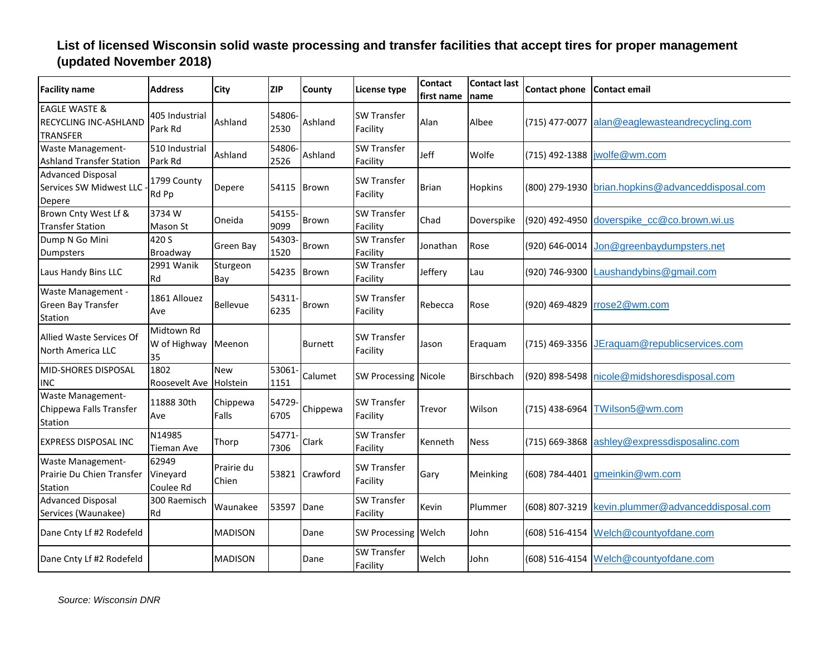| <b>Facility name</b>                                                 | <b>Address</b>                   | <b>City</b>            | <b>ZIP</b>     | County         | License type                   | <b>Contact</b><br>first name | <b>Contact last</b><br>Iname | <b>Contact phone</b> | Contact email                                     |
|----------------------------------------------------------------------|----------------------------------|------------------------|----------------|----------------|--------------------------------|------------------------------|------------------------------|----------------------|---------------------------------------------------|
| <b>EAGLE WASTE &amp;</b><br>RECYCLING INC-ASHLAND<br><b>TRANSFER</b> | 405 Industrial<br>Park Rd        | Ashland                | 54806-<br>2530 | Ashland        | <b>SW Transfer</b><br>Facility | Alan                         | Albee                        | (715) 477-0077       | alan@eaglewasteandrecycling.com                   |
| <b>Waste Management-</b><br><b>Ashland Transfer Station</b>          | 510 Industrial<br>Park Rd        | Ashland                | 54806-<br>2526 | Ashland        | <b>SW Transfer</b><br>Facility | Jeff                         | Wolfe                        |                      | (715) 492-1388   wolfe@wm.com                     |
| <b>Advanced Disposal</b><br>Services SW Midwest LLC<br>Depere        | 1799 County<br>Rd Pp             | Depere                 | 54115          | Brown          | <b>SW Transfer</b><br>Facility | <b>Brian</b>                 | <b>Hopkins</b>               | (800) 279-1930       | brian.hopkins@advanceddisposal.com                |
| Brown Cnty West Lf &<br><b>Transfer Station</b>                      | 3734W<br>Mason St                | Oneida                 | 54155-<br>9099 | Brown          | <b>SW Transfer</b><br>Facility | Chad                         | Doverspike                   | (920) 492-4950       | doverspike_cc@co.brown.wi.us                      |
| Dump N Go Mini<br>Dumpsters                                          | 420 S<br>Broadway                | Green Bay              | 54303<br>1520  | <b>Brown</b>   | <b>SW Transfer</b><br>Facility | Jonathan                     | Rose                         | (920) 646-0014       | Jon@greenbaydumpsters.net                         |
| Laus Handy Bins LLC                                                  | 2991 Wanik<br>Rd                 | Sturgeon<br>Bay        | 54235          | <b>Brown</b>   | <b>SW Transfer</b><br>Facility | Jeffery                      | Lau                          | (920) 746-9300       | aushandybins@gmail.com                            |
| Waste Management -<br><b>Green Bay Transfer</b><br>Station           | 1861 Allouez<br>Ave              | Bellevue               | 54311<br>6235  | Brown          | <b>SW Transfer</b><br>Facility | Rebecca                      | Rose                         | (920) 469-4829       | rrose2@wm.com                                     |
| Allied Waste Services Of<br>North America LLC                        | Midtown Rd<br>W of Highway<br>35 | Meenon                 |                | <b>Burnett</b> | <b>SW Transfer</b><br>Facility | Jason                        | Eraquam                      | (715) 469-3356       | JEraquam@republicservices.com                     |
| MID-SHORES DISPOSAL<br><b>INC</b>                                    | 1802<br>Roosevelt Ave            | <b>New</b><br>Holstein | 53061<br>1151  | Calumet        | <b>SW Processing Nicole</b>    |                              | Birschbach                   | (920) 898-5498       | nicole@midshoresdisposal.com                      |
| Waste Management-<br>Chippewa Falls Transfer<br>Station              | 11888 30th<br>Ave                | Chippewa<br>Falls      | 54729-<br>6705 | Chippewa       | <b>SW Transfer</b><br>Facility | Trevor                       | Wilson                       | (715) 438-6964       | TWilson5@wm.com                                   |
| <b>EXPRESS DISPOSAL INC</b>                                          | N14985<br>Tieman Ave             | Thorp                  | 54771<br>7306  | Clark          | <b>SW Transfer</b><br>Facility | Kenneth                      | <b>Ness</b>                  | (715) 669-3868       | ashley@expressdisposalinc.com                     |
| <b>Waste Management-</b><br>Prairie Du Chien Transfer<br>Station     | 62949<br>Vineyard<br>Coulee Rd   | Prairie du<br>Chien    | 53821          | Crawford       | <b>SW Transfer</b><br>Facility | Gary                         | Meinking                     | (608) 784-4401       | gmeinkin@wm.com                                   |
| <b>Advanced Disposal</b><br>Services (Waunakee)                      | 300 Raemisch<br>Rd               | Waunakee               | 53597          | Dane           | SW Transfer<br>Facility        | Kevin                        | Plummer                      |                      | (608) 807-3219 kevin.plummer@advanceddisposal.com |
| Dane Cnty Lf #2 Rodefeld                                             |                                  | <b>MADISON</b>         |                | Dane           | SW Processing Welch            |                              | John                         |                      | (608) 516-4154 Welch@countyofdane.com             |
| Dane Cnty Lf #2 Rodefeld                                             |                                  | <b>MADISON</b>         |                | Dane           | <b>SW Transfer</b><br>Facility | Welch                        | John                         |                      | (608) 516-4154 Welch@countyofdane.com             |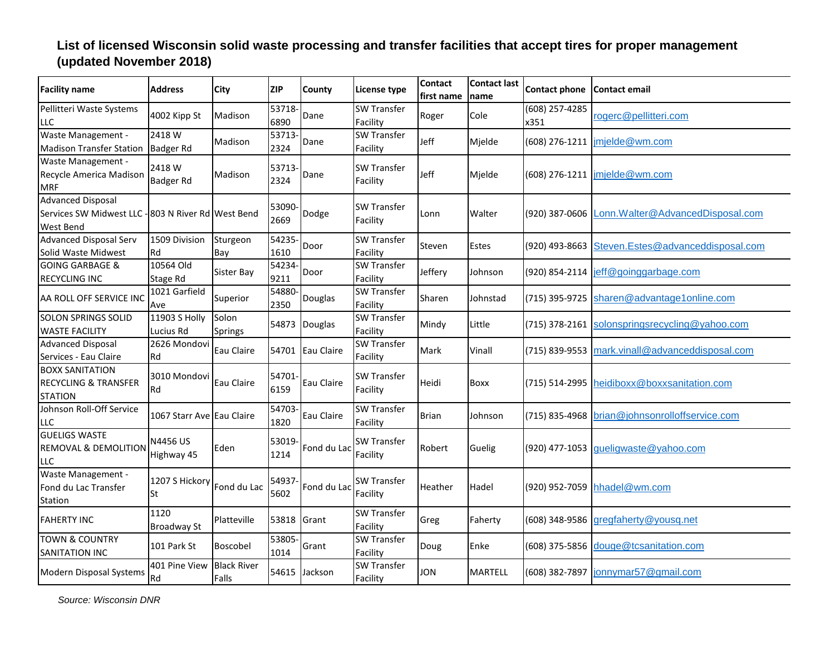| <b>Facility name</b>                                                                        | <b>Address</b>             | <b>City</b>                 | <b>ZIP</b>     | County            | <b>License type</b>            | Contact<br>first name | <b>Contact last</b><br>name | Contact phone Contact email |                                                |
|---------------------------------------------------------------------------------------------|----------------------------|-----------------------------|----------------|-------------------|--------------------------------|-----------------------|-----------------------------|-----------------------------|------------------------------------------------|
| Pellitteri Waste Systems<br><b>LLC</b>                                                      | 4002 Kipp St               | Madison                     | 53718<br>6890  | Dane              | <b>SW Transfer</b><br>Facility | Roger                 | Cole                        | (608) 257-4285<br>x351      | rogerc@pellitteri.com                          |
| Waste Management -<br><b>Madison Transfer Station</b>                                       | 2418 W<br><b>Badger Rd</b> | Madison                     | 53713<br>2324  | Dane              | <b>SW Transfer</b><br>Facility | Jeff                  | Mjelde                      | (608) 276-1211              | imjelde@wm.com                                 |
| Waste Management -<br>Recycle America Madison<br><b>MRF</b>                                 | 2418 W<br>Badger Rd        | Madison                     | 53713<br>2324  | Dane              | <b>SW Transfer</b><br>Facility | Jeff                  | Mjelde                      |                             | (608) 276-1211   imjelde@wm.com                |
| <b>Advanced Disposal</b><br>Services SW Midwest LLC - 803 N River Rd West Bend<br>West Bend |                            |                             | 53090-<br>2669 | Dodge             | <b>SW Transfer</b><br>Facility | Lonn                  | Walter                      | (920) 387-0606              | Lonn. Walter@AdvancedDisposal.com              |
| <b>Advanced Disposal Serv</b><br>Solid Waste Midwest                                        | 1509 Division<br>Rd        | Sturgeon<br>Bay             | 54235-<br>1610 | Door              | <b>SW Transfer</b><br>Facility | Steven                | Estes                       | (920) 493-8663              | Steven.Estes@advanceddisposal.com              |
| <b>GOING GARBAGE &amp;</b><br><b>RECYCLING INC</b>                                          | 10564 Old<br>Stage Rd      | Sister Bay                  | 54234<br>9211  | Door              | <b>SW Transfer</b><br>Facility | Jeffery               | Johnson                     | (920) 854-2114              | jeff@goinggarbage.com                          |
| AA ROLL OFF SERVICE INC                                                                     | 1021 Garfield<br>Ave       | Superior                    | 54880<br>2350  | Douglas           | <b>SW Transfer</b><br>Facility | Sharen                | Johnstad                    | (715) 395-9725              | sharen@advantage1online.com                    |
| <b>SOLON SPRINGS SOLID</b><br><b>WASTE FACILITY</b>                                         | 11903 S Holly<br>Lucius Rd | Solon<br>Springs            | 54873          | Douglas           | <b>SW Transfer</b><br>Facility | Mindy                 | Little                      | (715) 378-2161              | solonspringsrecycling@yahoo.com                |
| <b>Advanced Disposal</b><br>Services - Eau Claire                                           | 2626 Mondovi<br>Rd         | Eau Claire                  | 54701          | <b>Eau Claire</b> | <b>SW Transfer</b><br>Facility | Mark                  | Vinall                      | (715) 839-9553              | mark.vinall@advanceddisposal.com               |
| <b>BOXX SANITATION</b><br><b>RECYCLING &amp; TRANSFER</b><br><b>STATION</b>                 | 3010 Mondovi<br>Rd         | Eau Claire                  | 54701<br>6159  | Eau Claire        | <b>SW Transfer</b><br>Facility | Heidi                 | Boxx                        | (715) 514-2995              | heidiboxx@boxxsanitation.com                   |
| Johnson Roll-Off Service<br>LLC                                                             | 1067 Starr Ave Eau Claire  |                             | 54703<br>1820  | Eau Claire        | <b>SW Transfer</b><br>Facility | <b>Brian</b>          | Johnson                     |                             | (715) 835-4968 brian@johnsonrolloffservice.com |
| <b>GUELIGS WASTE</b><br><b>REMOVAL &amp; DEMOLITION</b><br>LLC                              | N4456 US<br>Highway 45     | Eden                        | 53019<br>1214  | Fond du Lac       | <b>SW Transfer</b><br>Facility | Robert                | Guelig                      | (920) 477-1053              | gueligwaste@yahoo.com                          |
| Waste Management -<br>Fond du Lac Transfer<br>Station                                       | 1207 S Hickory<br>St       | Fond du Lac                 | 54937<br>5602  | Fond du Lac       | <b>SW Transfer</b><br>Facility | Heather               | Hadel                       | (920) 952-7059              | hhadel@wm.com                                  |
| <b>FAHERTY INC</b>                                                                          | 1120<br><b>Broadway St</b> | Platteville                 | 53818          | Grant             | <b>SW Transfer</b><br>Facility | Greg                  | Faherty                     | (608) 348-9586              | gregfaherty@yousq.net                          |
| <b>TOWN &amp; COUNTRY</b><br>SANITATION INC                                                 | 101 Park St                | Boscobel                    | 53805<br>1014  | Grant             | <b>SW Transfer</b><br>Facility | Doug                  | Enke                        |                             | (608) 375-5856 douge@tcsanitation.com          |
| Modern Disposal Systems                                                                     | 401 Pine View<br>Rd        | <b>Black River</b><br>Falls | 54615          | Jackson           | <b>SW Transfer</b><br>Facility | <b>JON</b>            | MARTELL                     |                             | (608) 382-7897 jonnymar57@gmail.com            |

*Source: Wisconsin DNR*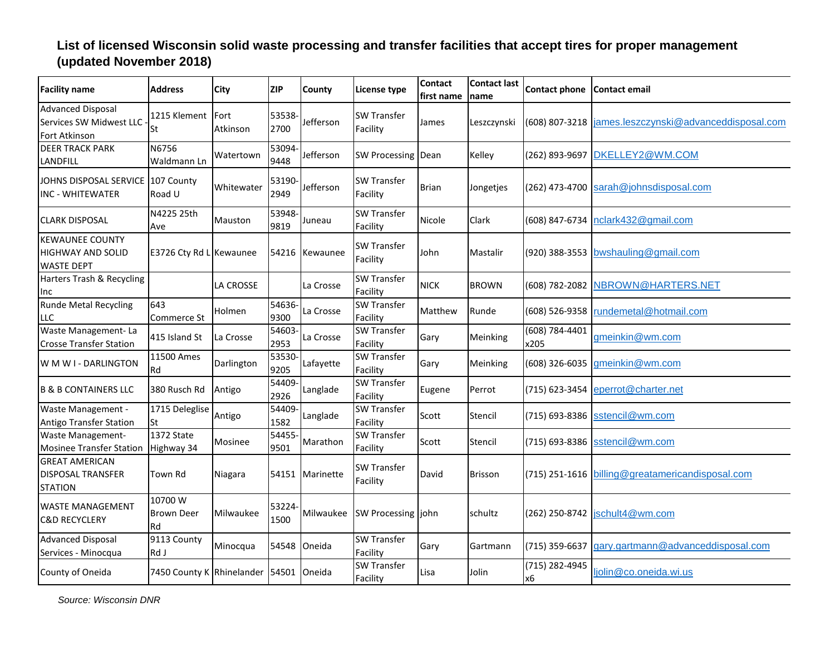| <b>Facility name</b>                                                    | <b>Address</b>                         | <b>City</b>      | <b>ZIP</b>     | County    | License type                   | <b>Contact</b><br>first name | <b>Contact last</b><br>Iname | Contact phone Contact email |                                        |
|-------------------------------------------------------------------------|----------------------------------------|------------------|----------------|-----------|--------------------------------|------------------------------|------------------------------|-----------------------------|----------------------------------------|
| <b>Advanced Disposal</b><br>Services SW Midwest LLC<br>Fort Atkinson    | 1215 Klement<br>St                     | Fort<br>Atkinson | 53538-<br>2700 | Jefferson | <b>SW Transfer</b><br>Facility | James                        | Leszczynski                  | (608) 807-3218              | james.leszczynski@advanceddisposal.com |
| <b>DEER TRACK PARK</b><br>LANDFILL                                      | N6756<br>Waldmann Ln                   | Watertown        | 53094-<br>9448 | Jefferson | <b>SW Processing</b>           | Dean                         | Kelley                       | (262) 893-9697              | DKELLEY2@WM.COM                        |
| JOHNS DISPOSAL SERVICE<br>INC - WHITEWATER                              | 107 County<br>Road U                   | Whitewater       | 53190-<br>2949 | Jefferson | <b>SW Transfer</b><br>Facility | Brian                        | Jongetjes                    | (262) 473-4700              | sarah@johnsdisposal.com                |
| <b>CLARK DISPOSAL</b>                                                   | N4225 25th<br>Ave                      | Mauston          | 53948-<br>9819 | Juneau    | <b>SW Transfer</b><br>Facility | Nicole                       | Clark                        | (608) 847-6734              | nclark432@gmail.com                    |
| <b>KEWAUNEE COUNTY</b><br><b>HIGHWAY AND SOLID</b><br><b>WASTE DEPT</b> | E3726 Cty Rd L Kewaunee                |                  | 54216          | Kewaunee  | <b>SW Transfer</b><br>Facility | John                         | Mastalir                     |                             | (920) 388-3553 bwshauling@gmail.com    |
| Harters Trash & Recycling<br>Inc                                        |                                        | LA CROSSE        |                | La Crosse | <b>SW Transfer</b><br>Facility | <b>NICK</b>                  | <b>BROWN</b>                 | (608) 782-2082              | NBROWN@HARTERS.NET                     |
| <b>Runde Metal Recycling</b><br>LLC                                     | 643<br>Commerce St                     | Holmen           | 54636-<br>9300 | La Crosse | <b>SW Transfer</b><br>Facility | Matthew                      | Runde                        | (608) 526-9358              | rundemetal@hotmail.com                 |
| Waste Management-La<br><b>Crosse Transfer Station</b>                   | 415 Island St                          | La Crosse        | 54603-<br>2953 | La Crosse | <b>SW Transfer</b><br>Facility | Gary                         | Meinking                     | (608) 784-4401<br>x205      | gmeinkin@wm.com                        |
| W M W I - DARLINGTON                                                    | 11500 Ames<br>Rd                       | Darlington       | 53530-<br>9205 | Lafayette | <b>SW Transfer</b><br>Facility | Gary                         | Meinking                     | (608) 326-6035              | gmeinkin@wm.com                        |
| <b>B &amp; B CONTAINERS LLC</b>                                         | 380 Rusch Rd                           | Antigo           | 54409-<br>2926 | Langlade  | <b>SW Transfer</b><br>Facility | Eugene                       | Perrot                       |                             | (715) 623-3454 eperrot@charter.net     |
| Waste Management -<br><b>Antigo Transfer Station</b>                    | 1715 Deleglise<br>St                   | Antigo           | 54409-<br>1582 | Langlade  | <b>SW Transfer</b><br>Facility | Scott                        | Stencil                      |                             | (715) 693-8386 sstencil@wm.com         |
| <b>Waste Management-</b><br><b>Mosinee Transfer Station</b>             | 1372 State<br>Highway 34               | Mosinee          | 54455-<br>9501 | Marathon  | <b>SW Transfer</b><br>Facility | Scott                        | Stencil                      | (715) 693-8386              | sstencil@wm.com                        |
| <b>GREAT AMERICAN</b><br><b>DISPOSAL TRANSFER</b><br><b>STATION</b>     | Town Rd                                | Niagara          | 54151          | Marinette | <b>SW Transfer</b><br>Facility | David                        | <b>Brisson</b>               | (715) 251-1616              | billing@greatamericandisposal.com      |
| <b>WASTE MANAGEMENT</b><br><b>C&amp;D RECYCLERY</b>                     | 10700W<br><b>Brown Deer</b><br>Rd      | Milwaukee        | 53224-<br>1500 | Milwaukee | SW Processing john             |                              | schultz                      | (262) 250-8742              | jschult4@wm.com                        |
| <b>Advanced Disposal</b><br>Services - Minocqua                         | 9113 County<br>Rd J                    | Minocqua         | 54548          | Oneida    | <b>SW Transfer</b><br>Facility | Gary                         | Gartmann                     | (715) 359-6637              | gary.gartmann@advanceddisposal.com     |
| County of Oneida                                                        | 7450 County K Rhinelander 54501 Oneida |                  |                |           | <b>SW Transfer</b><br>Facility | Lisa                         | Jolin                        | (715) 282-4945<br>х6        | ljolin@co.oneida.wi.us                 |

*Source: Wisconsin DNR*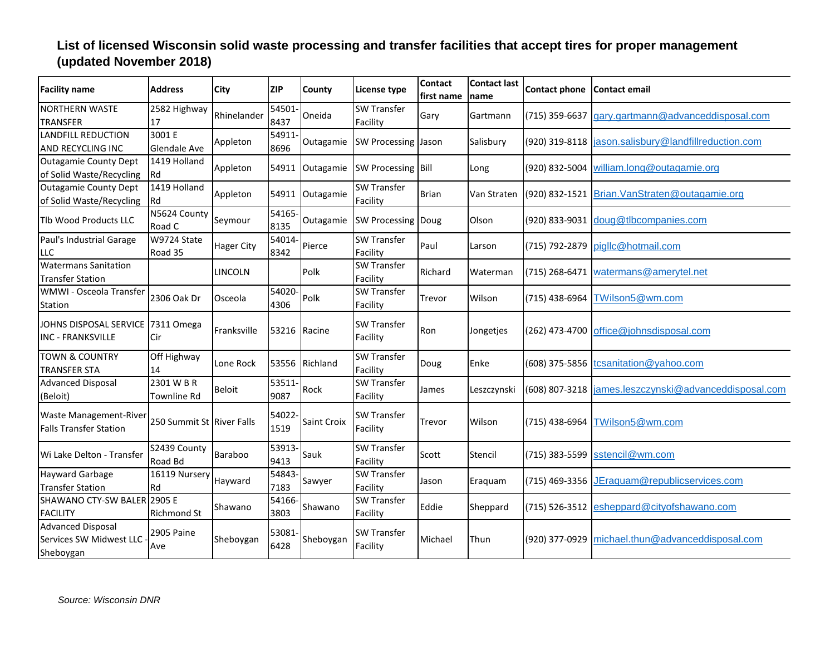| <b>Facility name</b>                                             | <b>Address</b>             | City              | <b>ZIP</b>     | County         | <b>License type</b>            | <b>Contact</b><br>first name | <b>Contact last</b><br>name | <b>Contact phone</b> | l Contact email                       |
|------------------------------------------------------------------|----------------------------|-------------------|----------------|----------------|--------------------------------|------------------------------|-----------------------------|----------------------|---------------------------------------|
| <b>NORTHERN WASTE</b><br><b>TRANSFER</b>                         | 2582 Highway<br>17         | Rhinelander       | 54501-<br>8437 | Oneida         | <b>SW Transfer</b><br>Facility | Gary                         | Gartmann                    | (715) 359-6637       | gary.gartmann@advanceddisposal.com    |
| LANDFILL REDUCTION<br>AND RECYCLING INC                          | 3001 E<br>Glendale Ave     | Appleton          | 54911<br>8696  | Outagamie      | SW Processing Jason            |                              | Salisbury                   | (920) 319-8118       | jason.salisbury@landfillreduction.com |
| <b>Outagamie County Dept</b><br>of Solid Waste/Recycling Rd      | 1419 Holland               | Appleton          | 54911          | Outagamie      | SW Processing Bill             |                              | Long                        | (920) 832-5004       | william.long@outagamie.org            |
| <b>Outagamie County Dept</b><br>of Solid Waste/Recycling         | 1419 Holland<br><b>IRd</b> | Appleton          | 54911          | Outagamie      | <b>SW Transfer</b><br>Facility | <b>Brian</b>                 | Van Straten                 | (920) 832-1521       | Brian. VanStraten@outagamie.org       |
| <b>TIb Wood Products LLC</b>                                     | N5624 County<br>Road C     | Seymour           | 54165-<br>8135 | Outagamie      | <b>SW Processing Doug</b>      |                              | Olson                       | (920) 833-9031       | doug@tlbcompanies.com                 |
| Paul's Industrial Garage<br>LLC                                  | W9724 State<br>Road 35     | <b>Hager City</b> | 54014-<br>8342 | Pierce         | <b>SW Transfer</b><br>Facility | Paul                         | Larson                      | (715) 792-2879       | pigllc@hotmail.com                    |
| <b>Watermans Sanitation</b><br><b>Transfer Station</b>           |                            | <b>LINCOLN</b>    |                | Polk           | <b>SW Transfer</b><br>Facility | Richard                      | Waterman                    | (715) 268-6471       | watermans@amerytel.net                |
| WMWI - Osceola Transfer<br>Station                               | 2306 Oak Dr                | Osceola           | 54020-<br>4306 | Polk           | <b>SW Transfer</b><br>Facility | Trevor                       | Wilson                      | (715) 438-6964       | TWilson5@wm.com                       |
| JOHNS DISPOSAL SERVICE 7311 Omega<br><b>INC - FRANKSVILLE</b>    | Cir                        | Franksville       |                | 53216 Racine   | <b>SW Transfer</b><br>Facility | Ron                          | Jongetjes                   | (262) 473-4700       | office@johnsdisposal.com              |
| <b>TOWN &amp; COUNTRY</b><br><b>TRANSFER STA</b>                 | Off Highway<br>14          | Lone Rock         |                | 53556 Richland | <b>SW Transfer</b><br>Facility | Doug                         | Enke                        | (608) 375-5856       | tcsanitation@yahoo.com                |
| <b>Advanced Disposal</b><br>(Beloit)                             | 2301 W B R<br>Townline Rd  | Beloit            | 53511-<br>9087 | Rock           | <b>SW Transfer</b><br>Facility | James                        | Leszczynski                 | (608) 807-3218       | ames.leszczynski@advanceddisposal.com |
| Waste Management-River<br><b>Falls Transfer Station</b>          | 250 Summit St River Falls  |                   | 54022<br>1519  | Saint Croix    | <b>SW Transfer</b><br>Facility | Trevor                       | Wilson                      | (715) 438-6964       | TWilson5@wm.com                       |
| Wi Lake Delton - Transfer                                        | S2439 County<br>Road Bd    | Baraboo           | 53913-<br>9413 | Sauk           | <b>SW Transfer</b><br>Facility | Scott                        | Stencil                     | (715) 383-5599       | sstencil@wm.com                       |
| Hayward Garbage<br><b>Transfer Station</b>                       | 16119 Nursery<br>Rd        | Hayward           | 54843-<br>7183 | Sawyer         | <b>SW Transfer</b><br>Facility | Jason                        | Eraquam                     | (715) 469-3356       | JEraquam@republicservices.com         |
| SHAWANO CTY-SW BALER 2905 E<br><b>FACILITY</b>                   | <b>Richmond St</b>         | Shawano           | 54166-<br>3803 | Shawano        | <b>SW Transfer</b><br>Facility | Eddie                        | Sheppard                    | (715) 526-3512       | esheppard@cityofshawano.com           |
| <b>Advanced Disposal</b><br>Services SW Midwest LLC<br>Sheboygan | <b>2905 Paine</b><br>Ave   | Sheboygan         | 53081<br>6428  | Sheboygan      | <b>SW Transfer</b><br>Facility | Michael                      | Thun                        | (920) 377-0929       | michael.thun@advanceddisposal.com     |